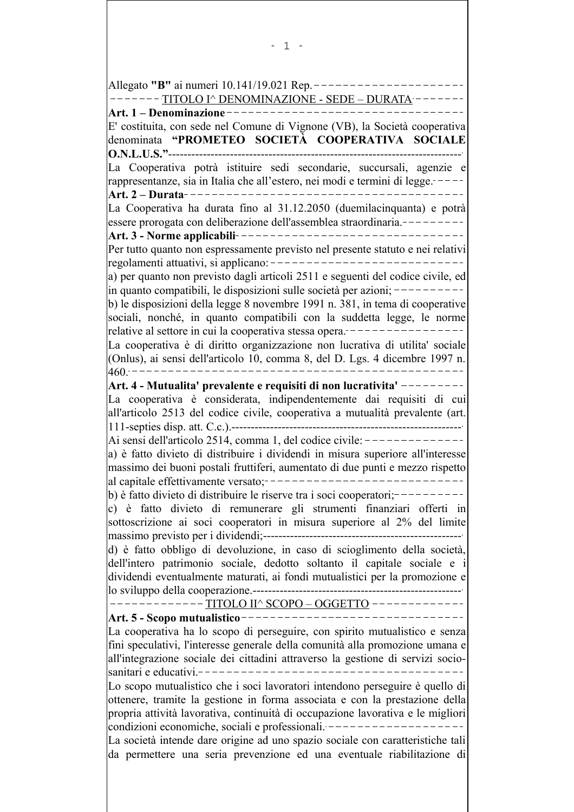Allegato "B" ai numeri 10.141/19.021 Rep. -----------------TITOLO I^ DENOMINAZIONE - SEDE - DURATA -------E' costituita, con sede nel Comune di Vignone (VB), la Società cooperativa denominata "PROMETEO SOCIETÀ COOPERATIVA SOCIALE La Cooperativa potrà istituire sedi secondarie, succursali, agenzie e rappresentanze, sia in Italia che all'estero, nei modi e termini di legge. La Cooperativa ha durata fino al 31.12.2050 (duemilacinguanta) e potrà essere prorogata con deliberazione dell'assemblea straordinaria.---------Per tutto quanto non espressamente previsto nel presente statuto e nei relativi regolamenti attuativi, si applicano: -----------------------------a) per quanto non previsto dagli articoli 2511 e seguenti del codice civile, ed  $\ln$  quanto compatibili, le disposizioni sulle società per azioni; ---------- $\vert$ b) le disposizioni della legge 8 novembre 1991 n. 381, in tema di cooperative sociali, nonché, in quanto compatibili con la suddetta legge, le norme relative al settore in cui la cooperativa stessa opera. -----------------La cooperativa è di diritto organizzazione non lucrativa di utilita' sociale (Onlus), ai sensi dell'articolo 10, comma 8, del D. Lgs. 4 dicembre 1997 n. Art. 4 - Mutualita' prevalente e requisiti di non lucrativita' ---------La cooperativa è considerata, indipendentemente dai requisiti di cui all'articolo 2513 del codice civile, cooperativa a mutualità prevalente (art. Ai sensi dell'articolo 2514, comma 1, del codice civile:  $-----------$ a) è fatto divieto di distribuire i dividendi in misura superiore all'interesse massimo dei buoni postali fruttiferi, aumentato di due punti e mezzo rispetto b) è fatto divieto di distribuire le riserve tra i soci cooperatori;---------c) è fatto divieto di remunerare gli strumenti finanziari offerti in sottoscrizione ai soci cooperatori in misura superiore al 2% del limite d) è fatto obbligo di devoluzione, in caso di scioglimento della società, dell'intero patrimonio sociale, dedotto soltanto il capitale sociale e i dividendi eventualmente maturati, ai fondi mutualistici per la promozione e -------------TITOLO II^ SCOPO - OGGETTO --------La cooperativa ha lo scopo di perseguire, con spirito mutualistico e senza fini speculativi, l'interesse generale della comunità alla promozione umana e all'integrazione sociale dei cittadini attraverso la gestione di servizi socio-Lo scopo mutualistico che i soci lavoratori intendono perseguire è quello di ottenere, tramite la gestione in forma associata e con la prestazione della propria attività lavorativa, continuità di occupazione lavorativa e le migliori condizioni economiche, sociali e professionali. -------------------La società intende dare origine ad uno spazio sociale con caratteristiche tali da permettere una seria prevenzione ed una eventuale riabilitazione di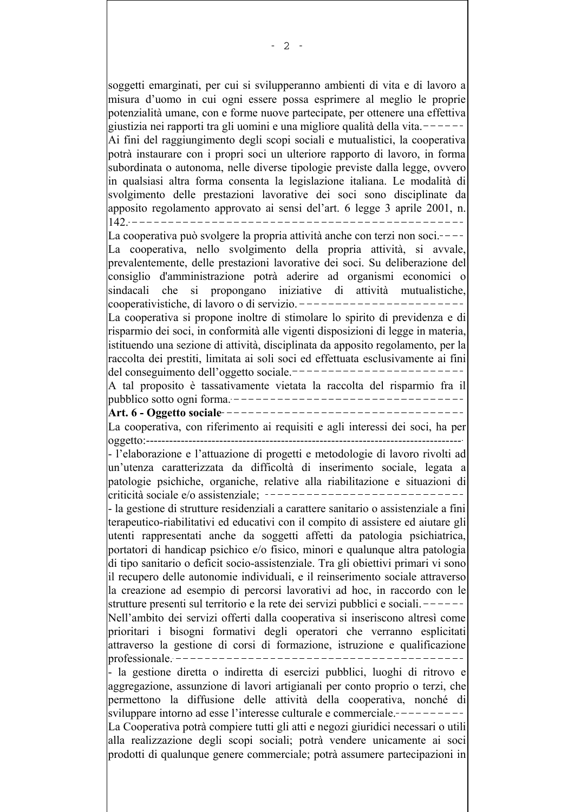soggetti emarginati, per cui si svilupperanno ambienti di vita e di lavoro a misura d'uomo in cui ogni essere possa esprimere al meglio le proprie potenzialità umane, con e forme nuove partecipate, per ottenere una effettiva giustizia nei rapporti tra gli uomini e una migliore qualità della vita. $---$ Ai fini del raggiungimento degli scopi sociali e mutualistici, la cooperativa potrà instaurare con i propri soci un ulteriore rapporto di lavoro, in forma subordinata o autonoma, nelle diverse tipologie previste dalla legge, ovvero in qualsiasi altra forma consenta la legislazione italiana. Le modalità di svolgimento delle prestazioni lavorative dei soci sono disciplinate da apposito regolamento approvato ai sensi del'art. 6 legge 3 aprile 2001, n. La cooperativa può svolgere la propria attività anche con terzi non soci.----La cooperativa, nello svolgimento della propria attività, si avvale, prevalentemente, delle prestazioni lavorative dei soci. Su deliberazione del consiglio d'amministrazione potrà aderire ad organismi economici o sindacali che si propongano iniziative di attività mutualistiche, cooperativistiche, di lavoro o di servizio. ------------------------La cooperativa si propone inoltre di stimolare lo spirito di previdenza e di risparmio dei soci, in conformità alle vigenti disposizioni di legge in materia, istituendo una sezione di attività, disciplinata da apposito regolamento, per la raccolta dei prestiti, limitata ai soli soci ed effettuata esclusivamente ai fini -----------------------del conseguimento dell'oggetto sociale. A tal proposito è tassativamente vietata la raccolta del risparmio fra il La cooperativa, con riferimento ai requisiti e agli interessi dei soci, ha per - l'elaborazione e l'attuazione di progetti e metodologie di lavoro rivolti ad un'utenza caratterizzata da difficoltà di inserimento sociale, legata a patologie psichiche, organiche, relative alla riabilitazione e situazioni di - la gestione di strutture residenziali a carattere sanitario o assistenziale a fini terapeutico-riabilitativi ed educativi con il compito di assistere ed aiutare gli utenti rappresentati anche da soggetti affetti da patologia psichiatrica, portatori di handicap psichico e/o fisico, minori e qualunque altra patologia di tipo sanitario o deficit socio-assistenziale. Tra gli obiettivi primari vi sono il recupero delle autonomie individuali, e il reinserimento sociale attraverso la creazione ad esempio di percorsi lavorativi ad hoc, in raccordo con le strutture presenti sul territorio e la rete dei servizi pubblici e sociali. Nell'ambito dei servizi offerti dalla cooperativa si inseriscono altresì come prioritari i bisogni formativi degli operatori che verranno esplicitati attraverso la gestione di corsi di formazione, istruzione e qualificazione - la gestione diretta o indiretta di esercizi pubblici, luoghi di ritrovo e aggregazione, assunzione di lavori artigianali per conto proprio o terzi, che permettono la diffusione delle attività della cooperativa, nonché di sviluppare intorno ad esse l'interesse culturale e commerciale.-----La Cooperativa potrà compiere tutti gli atti e negozi giuridici necessari o utili alla realizzazione degli scopi sociali; potrà vendere unicamente ai soci prodotti di qualunque genere commerciale; potrà assumere partecipazioni in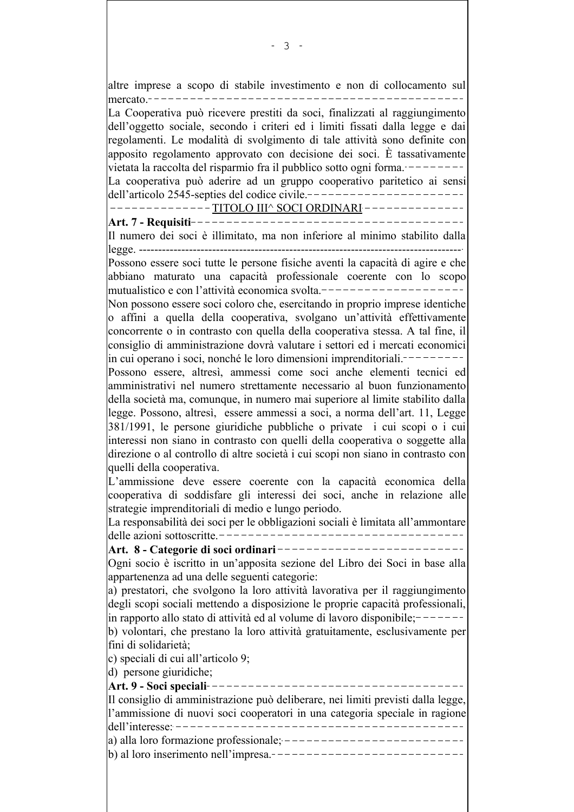| altre imprese a scopo di stabile investimento e non di collocamento sul                                                                                                                                                                                                                                                                                                                                  |  |
|----------------------------------------------------------------------------------------------------------------------------------------------------------------------------------------------------------------------------------------------------------------------------------------------------------------------------------------------------------------------------------------------------------|--|
| mercato. <sup>-</sup>                                                                                                                                                                                                                                                                                                                                                                                    |  |
| La Cooperativa può ricevere prestiti da soci, finalizzati al raggiungimento<br>dell'oggetto sociale, secondo i criteri ed i limiti fissati dalla legge e dai<br>regolamenti. Le modalità di svolgimento di tale attività sono definite con<br>apposito regolamento approvato con decisione dei soci. È tassativamente<br>vietata la raccolta del risparmio fra il pubblico sotto ogni forma.             |  |
| La cooperativa può aderire ad un gruppo cooperativo paritetico ai sensi                                                                                                                                                                                                                                                                                                                                  |  |
| dell'articolo 2545-septies del codice civile .---------------------                                                                                                                                                                                                                                                                                                                                      |  |
| --------- <u>TITOLO III^ SOCI ORDINARI</u> --------------                                                                                                                                                                                                                                                                                                                                                |  |
| Art. 7 - Requisiti--------------------                                                                                                                                                                                                                                                                                                                                                                   |  |
| Il numero dei soci è illimitato, ma non inferiore al minimo stabilito dalla                                                                                                                                                                                                                                                                                                                              |  |
| Possono essere soci tutte le persone fisiche aventi la capacità di agire e che<br>abbiano maturato una capacità professionale coerente con lo scopo<br>mutualistico e con l'attività economica svolta.                                                                                                                                                                                                   |  |
| Non possono essere soci coloro che, esercitando in proprio imprese identiche<br>o affini a quella della cooperativa, svolgano un'attività effettivamente<br>concorrente o in contrasto con quella della cooperativa stessa. A tal fine, il<br>consiglio di amministrazione dovrà valutare i settori ed i mercati economici<br>in cui operano i soci, nonché le loro dimensioni imprenditoriali.--------- |  |
| Possono essere, altresì, ammessi come soci anche elementi tecnici ed<br>amministrativi nel numero strettamente necessario al buon funzionamento<br>della società ma, comunque, in numero mai superiore al limite stabilito dalla<br>legge. Possono, altresì, essere ammessi a soci, a norma dell'art. 11, Legge<br>381/1991, le persone giuridiche pubbliche o private i cui scopi o i cui               |  |
| interessi non siano in contrasto con quelli della cooperativa o soggette alla<br>direzione o al controllo di altre società i cui scopi non siano in contrasto con                                                                                                                                                                                                                                        |  |
| quelli della cooperativa.<br>L'ammissione deve essere coerente con la capacità economica della<br>cooperativa di soddisfare gli interessi dei soci, anche in relazione alle<br>strategie imprenditoriali di medio e lungo periodo.                                                                                                                                                                       |  |
| La responsabilità dei soci per le obbligazioni sociali è limitata all'ammontare                                                                                                                                                                                                                                                                                                                          |  |
| Art. 8 - Categorie di soci ordinari---------------------------                                                                                                                                                                                                                                                                                                                                           |  |
| Ogni socio è iscritto in un'apposita sezione del Libro dei Soci in base alla<br>appartenenza ad una delle seguenti categorie:                                                                                                                                                                                                                                                                            |  |
| a) prestatori, che svolgono la loro attività lavorativa per il raggiungimento<br>degli scopi sociali mettendo a disposizione le proprie capacità professionali,<br>in rapporto allo stato di attività ed al volume di lavoro disponibile; -------                                                                                                                                                        |  |
| b) volontari, che prestano la loro attività gratuitamente, esclusivamente per<br>fini di solidarietà;                                                                                                                                                                                                                                                                                                    |  |
| c) speciali di cui all'articolo 9;<br>d) persone giuridiche;                                                                                                                                                                                                                                                                                                                                             |  |
|                                                                                                                                                                                                                                                                                                                                                                                                          |  |
| Il consiglio di amministrazione può deliberare, nei limiti previsti dalla legge,                                                                                                                                                                                                                                                                                                                         |  |
| l'ammissione di nuovi soci cooperatori in una categoria speciale in ragione                                                                                                                                                                                                                                                                                                                              |  |
| a) alla loro formazione professionale; --------------------------                                                                                                                                                                                                                                                                                                                                        |  |
|                                                                                                                                                                                                                                                                                                                                                                                                          |  |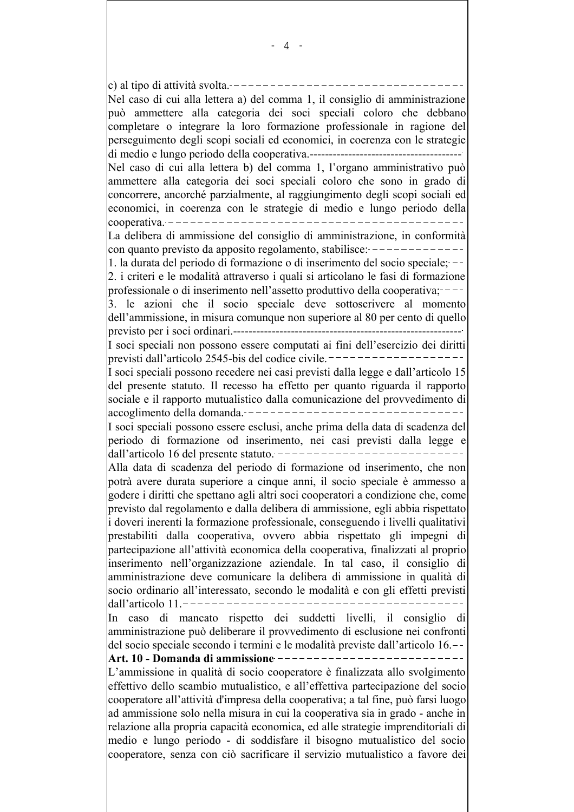c) al tipo di attività svolta.  $---------------$ Nel caso di cui alla lettera a) del comma 1, il consiglio di amministrazione può ammettere alla categoria dei soci speciali coloro che debbano completare o integrare la loro formazione professionale in ragione del perseguimento degli scopi sociali ed economici, in coerenza con le strategie Nel caso di cui alla lettera b) del comma 1, l'organo amministrativo può ammettere alla categoria dei soci speciali coloro che sono in grado di concorrere, ancorché parzialmente, al raggiungimento degli scopi sociali ed economici, in coerenza con le strategie di medio e lungo periodo della La delibera di ammissione del consiglio di amministrazione, in conformità con quanto previsto da apposito regolamento, stabilisce:  $------------$ 1. la durata del periodo di formazione o di inserimento del socio speciale: --2. i criteri e le modalità attraverso i quali si articolano le fasi di formazione professionale o di inserimento nell'assetto produttivo della cooperativa;----3. le azioni che il socio speciale deve sottoscrivere al momento dell'ammissione, in misura comunque non superiore al 80 per cento di quello I soci speciali non possono essere computati ai fini dell'esercizio dei diritti I soci speciali possono recedere nei casi previsti dalla legge e dall'articolo 15 del presente statuto. Il recesso ha effetto per quanto riguarda il rapporto sociale e il rapporto mutualistico dalla comunicazione del provvedimento di |accoglimento della domanda. ----------------------------------I soci speciali possono essere esclusi, anche prima della data di scadenza del periodo di formazione od inserimento, nei casi previsti dalla legge e Alla data di scadenza del periodo di formazione od inserimento, che non potrà avere durata superiore a cinque anni, il socio speciale è ammesso a godere i diritti che spettano agli altri soci cooperatori a condizione che, come previsto dal regolamento e dalla delibera di ammissione, egli abbia rispettato i doveri inerenti la formazione professionale, conseguendo i livelli qualitativi prestabiliti dalla cooperativa, ovvero abbia rispettato gli impegni di partecipazione all'attività economica della cooperativa, finalizzati al proprio inserimento nell'organizzazione aziendale. In tal caso, il consiglio di amministrazione deve comunicare la delibera di ammissione in qualità di socio ordinario all'interessato, secondo le modalità e con gli effetti previsti In caso di mancato rispetto dei suddetti livelli, il consiglio di amministrazione può deliberare il provvedimento di esclusione nei confronti del socio speciale secondo i termini e le modalità previste dall'articolo 16. Art. 10 - Domanda di ammissione ---------------------------L'ammissione in qualità di socio cooperatore è finalizzata allo svolgimento effettivo dello scambio mutualistico, e all'effettiva partecipazione del socio cooperatore all'attività d'impresa della cooperativa; a tal fine, può farsi luogo ad ammissione solo nella misura in cui la cooperativa sia in grado - anche in relazione alla propria capacità economica, ed alle strategie imprenditoriali di medio e lungo periodo - di soddisfare il bisogno mutualistico del socio cooperatore, senza con ciò sacrificare il servizio mutualistico a favore dei

- 4 -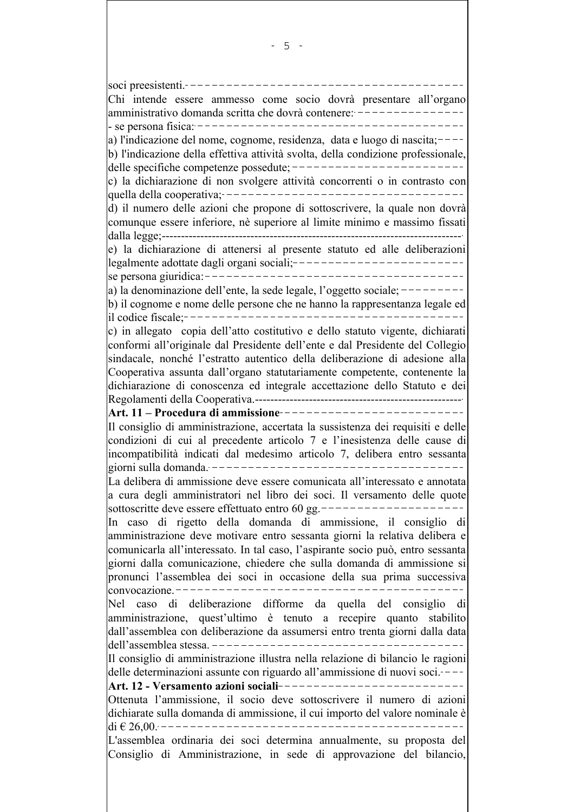soci preesistenti. Chi intende essere ammesso come socio dovrà presentare all'organo amministrativo domanda scritta che dovrà contenere: ------a) l'indicazione del nome, cognome, residenza, data e luogo di nascita;  $$ b) l'indicazione della effettiva attività svolta, della condizione professionale, c) la dichiarazione di non svolgere attività concorrenti o in contrasto con d) il numero delle azioni che propone di sottoscrivere, la quale non dovrà comunque essere inferiore, nè superiore al limite minimo e massimo fissati e) la dichiarazione di attenersi al presente statuto ed alle deliberazioni legalmente adottate dagli organi sociali; --------------------------a) la denominazione dell'ente, la sede legale, l'oggetto sociale;  $$ b) il cognome e nome delle persone che ne hanno la rappresentanza legale ed c) in allegato copia dell'atto costitutivo e dello statuto vigente, dichiarati conformi all'originale dal Presidente dell'ente e dal Presidente del Collegio sindacale, nonché l'estratto autentico della deliberazione di adesione alla Cooperativa assunta dall'organo statutariamente competente, contenente la dichiarazione di conoscenza ed integrale accettazione dello Statuto e dei Il consiglio di amministrazione, accertata la sussistenza dei requisiti e delle condizioni di cui al precedente articolo 7 e l'inesistenza delle cause di incompatibilità indicati dal medesimo articolo 7, delibera entro sessanta giorni sulla domanda. --------------------------------La delibera di ammissione deve essere comunicata all'interessato e annotata a cura degli amministratori nel libro dei soci. Il versamento delle quote sottoscritte deve essere effettuato entro 60 gg. --------------------In caso di rigetto della domanda di ammissione, il consiglio di amministrazione deve motivare entro sessanta giorni la relativa delibera e comunicarla all'interessato. In tal caso, l'aspirante socio può, entro sessanta giorni dalla comunicazione, chiedere che sulla domanda di ammissione si pronunci l'assemblea dei soci in occasione della sua prima successiva convocazione  $---$ Nel caso di deliberazione difforme da quella del consiglio di amministrazione, quest'ultimo è tenuto a recepire quanto stabilito dall'assemblea con deliberazione da assumersi entro trenta giorni dalla data Il consiglio di amministrazione illustra nella relazione di bilancio le ragioni delle determinazioni assunte con riguardo all'ammissione di nuovi soci. $---$ Art. 12 - Versamento azioni sociali-------------Ottenuta l'ammissione, il socio deve sottoscrivere il numero di azioni dichiarate sulla domanda di ammissione, il cui importo del valore nominale è di  $\epsilon$  26 00 --------------------------L'assemblea ordinaria dei soci determina annualmente, su proposta del Consiglio di Amministrazione, in sede di approvazione del bilancio,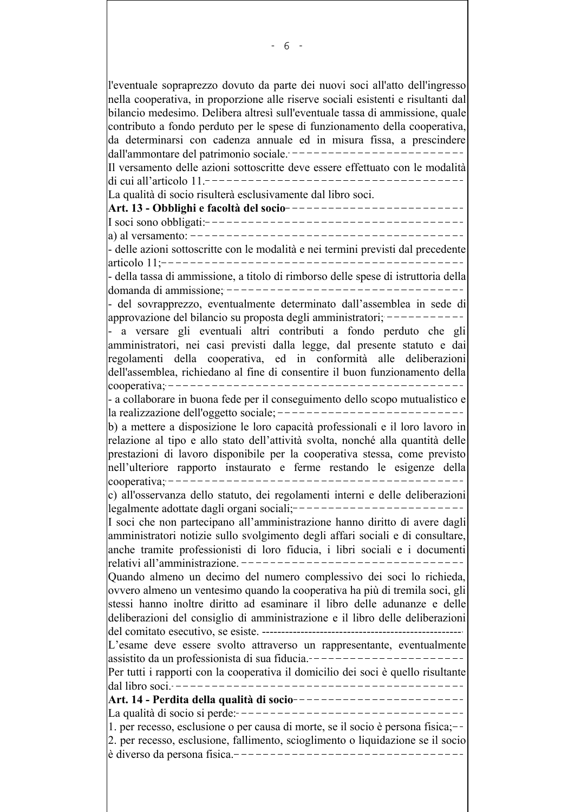l'eventuale sopraprezzo dovuto da parte dei nuovi soci all'atto dell'ingresso nella cooperativa, in proporzione alle riserve sociali esistenti e risultanti dal bilancio medesimo. Delibera altresì sull'eventuale tassa di ammissione, quale contributo a fondo perduto per le spese di funzionamento della cooperativa, da determinarsi con cadenza annuale ed in misura fissa, a prescindere dall'ammontare del patrimonio sociale. Il versamento delle azioni sottoscritte deve essere effettuato con le modalità ---------------------------------di cui all'articolo  $11 - -$ La qualità di socio risulterà esclusivamente dal libro soci. Art. 13 - Obblighi e facoltà del socio--------------------------\_\_\_\_\_\_\_\_\_\_\_\_\_\_\_\_\_\_\_\_\_\_\_\_\_\_\_\_\_\_\_\_  $|a\rangle$  al versamento: ------- delle azioni sottoscritte con le modalità e nei termini previsti dal precedente articolo 11:------ della tassa di ammissione, a titolo di rimborso delle spese di istruttoria della - del sovrapprezzo, eventualmente determinato dall'assemblea in sede di approvazione del bilancio su proposta degli amministratori; ------------ a versare gli eventuali altri contributi a fondo perduto che gli amministratori, nei casi previsti dalla legge, dal presente statuto e dai regolamenti della cooperativa, ed in conformità alle deliberazioni dell'assemblea, richiedano al fine di consentire il buon funzionamento della - a collaborare in buona fede per il conseguimento dello scopo mutualistico e b) a mettere a disposizione le loro capacità professionali e il loro lavoro in relazione al tipo e allo stato dell'attività svolta, nonché alla quantità delle prestazioni di lavoro disponibile per la cooperativa stessa, come previsto nell'ulteriore rapporto instaurato e ferme restando le esigenze della c) all'osservanza dello statuto, dei regolamenti interni e delle deliberazioni I soci che non partecipano all'amministrazione hanno diritto di avere dagli amministratori notizie sullo svolgimento degli affari sociali e di consultare, anche tramite professionisti di loro fiducia, i libri sociali e i documenti Quando almeno un decimo del numero complessivo dei soci lo richieda, ovvero almeno un ventesimo quando la cooperativa ha più di tremila soci, gli stessi hanno inoltre diritto ad esaminare il libro delle adunanze e delle deliberazioni del consiglio di amministrazione e il libro delle deliberazioni L'esame deve essere svolto attraverso un rappresentante, eventualmente assistito da un professionista di sua fiducia.----------------------Per tutti i rapporti con la cooperativa il domicilio dei soci è quello risultante dal libro soci ---------------------Art. 14 - Perdita della qualità di socio------------------------1. per recesso, esclusione o per causa di morte, se il socio è persona fisica;--2. per recesso, esclusione, fallimento, scioglimento o liquidazione se il socio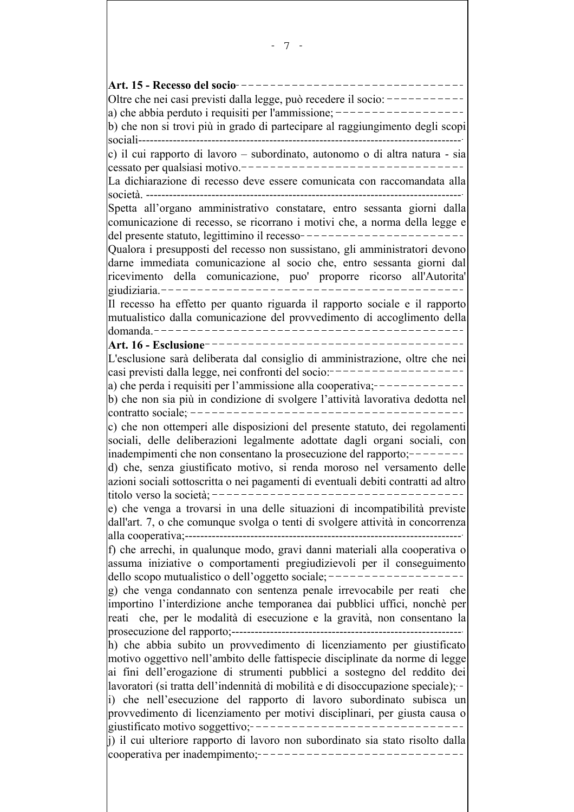Art. 15 - Recesso del socio------------------Oltre che nei casi previsti dalla legge, può recedere il socio: ----------a) che abbia perduto i requisiti per l'ammissione;  $\frac{-\frac{1}{2}}{1-\frac{1}{2}}$ b) che non si trovi più in grado di partecipare al raggiungimento degli scopi c) il cui rapporto di lavoro – subordinato, autonomo o di altra natura - sia La dichiarazione di recesso deve essere comunicata con raccomandata alla Spetta all'organo amministrativo constatare, entro sessanta giorni dalla comunicazione di recesso, se ricorrano i motivi che, a norma della legge e Qualora i presupposti del recesso non sussistano, gli amministratori devono darne immediata comunicazione al socio che, entro sessanta giorni dal ricevimento della comunicazione, puo' proporre ricorso all'Autorita' Il recesso ha effetto per quanto riguarda il rapporto sociale e il rapporto mutualistico dalla comunicazione del provvedimento di accoglimento della L'esclusione sarà deliberata dal consiglio di amministrazione, oltre che nei casi previsti dalla legge, nei confronti del socio:-------------------(a) che perda i requisiti per l'ammissione alla cooperativa;  $--------$ b) che non sia più in condizione di svolgere l'attività lavorativa dedotta nel c) che non ottemperi alle disposizioni del presente statuto, dei regolamenti sociali, delle deliberazioni legalmente adottate dagli organi sociali, con inadempimenti che non consentano la prosecuzione del rapporto;  $-----$ d) che, senza giustificato motivo, si renda moroso nel versamento delle azioni sociali sottoscritta o nei pagamenti di eventuali debiti contratti ad altro e) che venga a trovarsi in una delle situazioni di incompatibilità previste dall'art. 7, o che comunque svolga o tenti di svolgere attività in concorrenza f) che arrechi, in qualunque modo, gravi danni materiali alla cooperativa o assuma iniziative o comportamenti pregiudizievoli per il conseguimento dello scopo mutualistico o dell'oggetto sociale;  $-------------------- |g|$  che venga condannato con sentenza penale irrevocabile per reati che importino l'interdizione anche temporanea dai pubblici uffici, nonchè per reati che, per le modalità di esecuzione e la gravità, non consentano la h) che abbia subito un provvedimento di licenziamento per giustificato motivo oggettivo nell'ambito delle fattispecie disciplinate da norme di legge ai fini dell'erogazione di strumenti pubblici a sostegno del reddito dei lavoratori (si tratta dell'indennità di mobilità e di disoccupazione speciale): i) che nell'esecuzione del rapporto di lavoro subordinato subisca un provvedimento di licenziamento per motivi disciplinari, per giusta causa o i) il cui ulteriore rapporto di lavoro non subordinato sia stato risolto dalla cooperativa per inadempimento;--------------------------------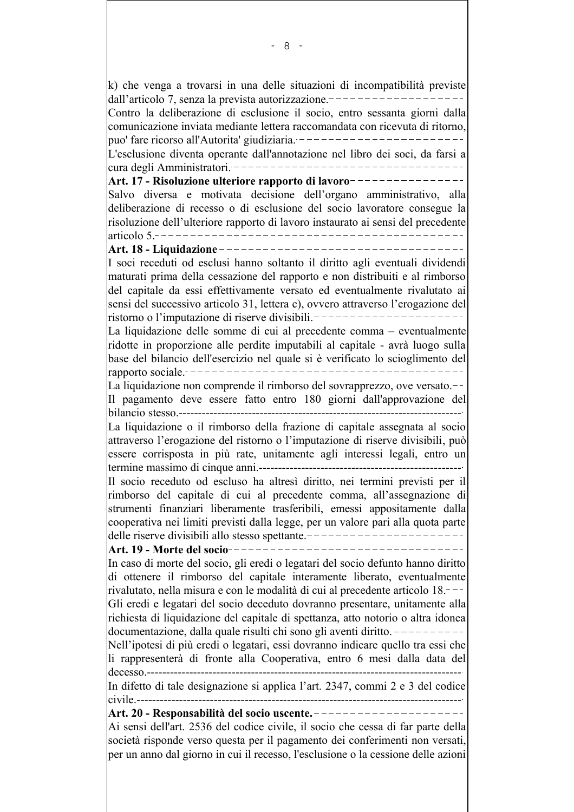k) che venga a trovarsi in una delle situazioni di incompatibilità previste dall'articolo 7, senza la prevista autorizzazione. -----------------Contro la deliberazione di esclusione il socio, entro sessanta giorni dalla comunicazione inviata mediante lettera raccomandata con ricevuta di ritorno. puo' fare ricorso all'Autorita' giudiziaria. ------------------------L'esclusione diventa operante dall'annotazione nel libro dei soci, da farsi a Art. 17 - Risoluzione ulteriore rapporto di lavoro----------------Salvo diversa e motivata decisione dell'organo amministrativo, alla deliberazione di recesso o di esclusione del socio lavoratore consegue la risoluzione dell'ulteriore rapporto di lavoro instaurato ai sensi del precedente  $\arctan 5 - - - - - -$ ---------------------------------Art. 18 - Liquidazione ------------------------------I soci receduti od esclusi hanno soltanto il diritto agli eventuali dividendi maturati prima della cessazione del rapporto e non distribuiti e al rimborso del capitale da essi effettivamente versato ed eventualmente rivalutato ai sensi del successivo articolo 31, lettera c), ovvero attraverso l'erogazione del ristorno o l'imputazione di riserve divisibili.-----------------La liquidazione delle somme di cui al precedente comma - eventualmente ridotte in proporzione alle perdite imputabili al capitale - avrà luogo sulla base del bilancio dell'esercizio nel quale si è verificato lo scioglimento del La liquidazione non comprende il rimborso del sovrapprezzo, ove versato.--Il pagamento deve essere fatto entro 180 giorni dall'approvazione del La liquidazione o il rimborso della frazione di capitale assegnata al socio attraverso l'erogazione del ristorno o l'imputazione di riserve divisibili, può essere corrisposta in più rate, unitamente agli interessi legali, entro un Il socio receduto od escluso ha altresì diritto, nei termini previsti per il rimborso del capitale di cui al precedente comma, all'assegnazione di strumenti finanziari liberamente trasferibili, emessi appositamente dalla cooperativa nei limiti previsti dalla legge, per un valore pari alla quota parte delle riserve divisibili allo stesso spettante. Art. 19 - Morte del socio--------In caso di morte del socio, gli eredi o legatari del socio defunto hanno diritto di ottenere il rimborso del capitale interamente liberato, eventualmente rivalutato, nella misura e con le modalità di cui al precedente articolo 18. Gli eredi e legatari del socio deceduto dovranno presentare, unitamente alla richiesta di liquidazione del capitale di spettanza, atto notorio o altra idonea documentazione, dalla quale risulti chi sono gli aventi diritto.  $---------$ Nell'ipotesi di più eredi o legatari, essi dovranno indicare quello tra essi che li rappresenterà di fronte alla Cooperativa, entro 6 mesi dalla data del  $decesso$  ---------------In difetto di tale designazione si applica l'art. 2347, commi 2 e 3 del codice Art. 20 - Responsabilità del socio uscente. ---------------------Ai sensi dell'art. 2536 del codice civile, il socio che cessa di far parte della società risponde verso questa per il pagamento dei conferimenti non versati, per un anno dal giorno in cui il recesso, l'esclusione o la cessione delle azioni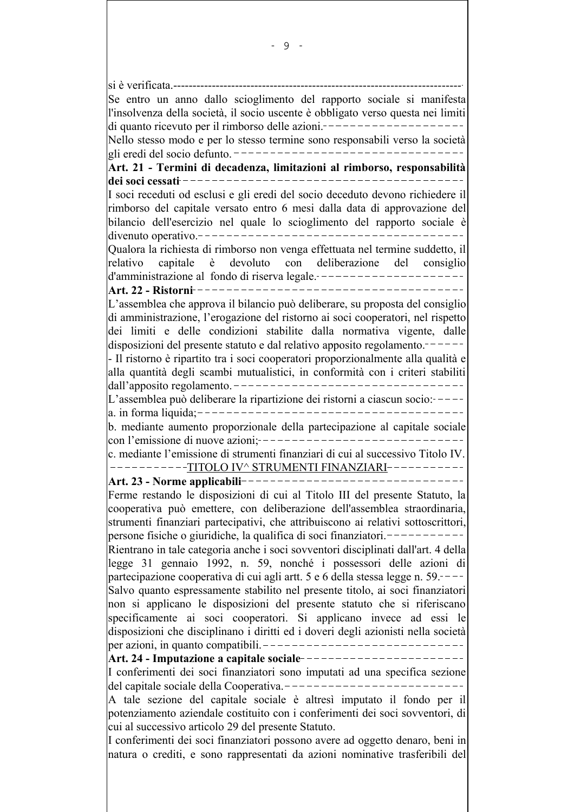si è verificata.---Se entro un anno dallo scioglimento del rapporto sociale si manifesta l'insolvenza della società, il socio uscente è obbligato verso questa nei limiti Nello stesso modo e per lo stesso termine sono responsabili verso la società Art. 21 - Termini di decadenza, limitazioni al rimborso, responsabilità I soci receduti od esclusi e gli eredi del socio deceduto devono richiedere il rimborso del capitale versato entro 6 mesi dalla data di approvazione del bilancio dell'esercizio nel quale lo scioglimento del rapporto sociale è Qualora la richiesta di rimborso non venga effettuata nel termine suddetto, il devoluto con deliberazione del consiglio relativo capitale è d'amministrazione al fondo di riserva legale. ---------------------\_\_\_\_\_\_\_\_\_\_\_ Art. 22 - Ristorni ---------------L'assemblea che approva il bilancio può deliberare, su proposta del consiglio di amministrazione, l'erogazione del ristorno ai soci cooperatori, nel rispetto dei limiti e delle condizioni stabilite dalla normativa vigente, dalle disposizioni del presente statuto e dal relativo apposito regolamento. - Il ristorno è ripartito tra i soci cooperatori proporzionalmente alla qualità e alla quantità degli scambi mutualistici, in conformità con i criteri stabiliti L'assemblea può deliberare la ripartizione dei ristorni a ciascun socio:-----b. mediante aumento proporzionale della partecipazione al capitale sociale c. mediante l'emissione di strumenti finanziari di cui al successivo Titolo IV. ----------TITOLO IV^ STRUMENTI FINANZIARI------Ferme restando le disposizioni di cui al Titolo III del presente Statuto, la cooperativa può emettere, con deliberazione dell'assemblea straordinaria, strumenti finanziari partecipativi, che attribuiscono ai relativi sottoscrittori, persone fisiche o giuridiche, la qualifica di soci finanziatori.-----------Rientrano in tale categoria anche i soci sovventori disciplinati dall'art. 4 della legge 31 gennaio 1992, n. 59, nonché i possessori delle azioni di partecipazione cooperativa di cui agli artt. 5 e 6 della stessa legge n. 59.----Salvo quanto espressamente stabilito nel presente titolo, ai soci finanziatori non si applicano le disposizioni del presente statuto che si riferiscano specificamente ai soci cooperatori. Si applicano invece ad essi le disposizioni che disciplinano i diritti ed i doveri degli azionisti nella società Art. 24 - Imputazione a capitale sociale -----------------------I conferimenti dei soci finanziatori sono imputati ad una specifica sezione del capitale sociale della Cooperativa.---------------------------A tale sezione del capitale sociale è altresì imputato il fondo per il potenziamento aziendale costituito con i conferimenti dei soci sovventori, di cui al successivo articolo 29 del presente Statuto. I conferimenti dei soci finanziatori possono avere ad oggetto denaro, beni in natura o crediti, e sono rappresentati da azioni nominative trasferibili del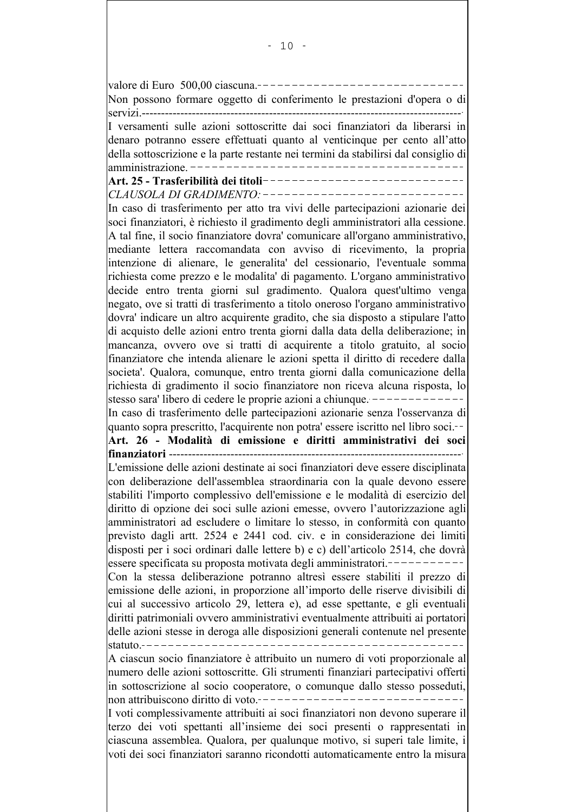valore di Euro  $500,00$  ciascuna. Non possono formare oggetto di conferimento le prestazioni d'opera o di servizi ----------I versamenti sulle azioni sottoscritte dai soci finanziatori da liberarsi in denaro potranno essere effettuati quanto al venticinque per cento all'atto della sottoscrizione e la parte restante nei termini da stabilirsi dal consiglio di amministrazione. -----------Art. 25 - Trasferibilità dei titoli------CLAUSOLA DI GRADIMENTO:--------------------------In caso di trasferimento per atto tra vivi delle partecipazioni azionarie dei soci finanziatori, è richiesto il gradimento degli amministratori alla cessione. A tal fine, il socio finanziatore dovra' comunicare all'organo amministrativo, mediante lettera raccomandata con avviso di ricevimento, la propria intenzione di alienare, le generalita del cessionario, l'eventuale somma richiesta come prezzo e le modalita' di pagamento. L'organo amministrativo decide entro trenta giorni sul gradimento. Qualora quest'ultimo venga negato, ove si tratti di trasferimento a titolo oneroso l'organo amministrativo dovra' indicare un altro acquirente gradito, che sia disposto a stipulare l'atto di acquisto delle azioni entro trenta giorni dalla data della deliberazione; in mancanza, ovvero ove si tratti di acquirente a titolo gratuito, al socio finanziatore che intenda alienare le azioni spetta il diritto di recedere dalla societa'. Qualora, comunque, entro trenta giorni dalla comunicazione della richiesta di gradimento il socio finanziatore non riceva alcuna risposta, lo stesso sara' libero di cedere le proprie azioni a chiunque. -------------In caso di trasferimento delle partecipazioni azionarie senza l'osservanza di quanto sopra prescritto, l'acquirente non potra' essere iscritto nel libro soci.--Art. 26 - Modalità di emissione e diritti amministrativi dei soci L'emissione delle azioni destinate ai soci finanziatori deve essere disciplinata con deliberazione dell'assemblea straordinaria con la quale devono essere stabiliti l'importo complessivo dell'emissione e le modalità di esercizio del diritto di opzione dei soci sulle azioni emesse, ovvero l'autorizzazione agli amministratori ad escludere o limitare lo stesso, in conformità con quanto previsto dagli artt. 2524 e 2441 cod. civ. e in considerazione dei limiti disposti per i soci ordinari dalle lettere b) e c) dell'articolo 2514, che dovrà essere specificata su proposta motivata degli amministratori.-----------Con la stessa deliberazione potranno altresì essere stabiliti il prezzo di emissione delle azioni, in proporzione all'importo delle riserve divisibili di cui al successivo articolo 29, lettera e), ad esse spettante, e gli eventuali diritti patrimoniali ovvero amministrativi eventualmente attribuiti ai portatori delle azioni stesse in deroga alle disposizioni generali contenute nel presente A ciascun socio finanziatore è attribuito un numero di voti proporzionale al numero delle azioni sottoscritte. Gli strumenti finanziari partecipativi offerti in sottoscrizione al socio cooperatore, o comunque dallo stesso posseduti, non attribuiscono diritto di voto. ---------------------------------I voti complessivamente attribuiti ai soci finanziatori non devono superare il terzo dei voti spettanti all'insieme dei soci presenti o rappresentati in ciascuna assemblea. Qualora, per qualunque motivo, si superi tale limite, i voti dei soci finanziatori saranno ricondotti automaticamente entro la misura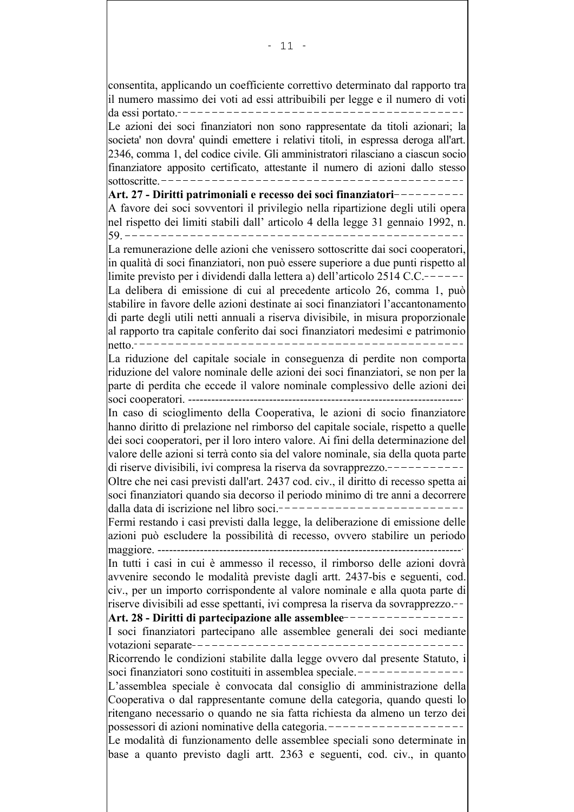consentita, applicando un coefficiente correttivo determinato dal rapporto tra il numero massimo dei voti ad essi attribuibili per legge e il numero di voti Le azioni dei soci finanziatori non sono rappresentate da titoli azionari; la societa' non dovra' quindi emettere i relativi titoli, in espressa deroga all'art. 2346, comma 1, del codice civile. Gli amministratori rilasciano a ciascun socio finanziatore apposito certificato, attestante il numero di azioni dallo stesso Art. 27 - Diritti patrimoniali e recesso dei soci finanziatori----------A favore dei soci sovventori il privilegio nella ripartizione degli utili opera nel rispetto dei limiti stabili dall'articolo 4 della legge 31 gennaio 1992, n. La remunerazione delle azioni che venissero sottoscritte dai soci cooperatori, in qualità di soci finanziatori, non può essere superiore a due punti rispetto al limite previsto per i dividendi dalla lettera a) dell'articolo 2514 C.C.------La delibera di emissione di cui al precedente articolo 26, comma 1, può stabilire in favore delle azioni destinate ai soci finanziatori l'accantonamento di parte degli utili netti annuali a riserva divisibile, in misura proporzionale al rapporto tra capitale conferito dai soci finanziatori medesimi e patrimonio  $|$ netto ----La riduzione del capitale sociale in conseguenza di perdite non comporta riduzione del valore nominale delle azioni dei soci finanziatori, se non per la parte di perdita che eccede il valore nominale complessivo delle azioni dei In caso di scioglimento della Cooperativa, le azioni di socio finanziatore hanno diritto di prelazione nel rimborso del capitale sociale, rispetto a quelle dei soci cooperatori, per il loro intero valore. Ai fini della determinazione del valore delle azioni si terrà conto sia del valore nominale, sia della quota parte Oltre che nei casi previsti dall'art. 2437 cod. civ., il diritto di recesso spetta ai soci finanziatori quando sia decorso il periodo minimo di tre anni a decorrere dalla data di iscrizione nel libro soci ----------------------Fermi restando i casi previsti dalla legge, la deliberazione di emissione delle azioni può escludere la possibilità di recesso, ovvero stabilire un periodo In tutti i casi in cui è ammesso il recesso, il rimborso delle azioni dovrà avvenire secondo le modalità previste dagli artt. 2437-bis e seguenti, cod. civ., per un importo corrispondente al valore nominale e alla quota parte di riserve divisibili ad esse spettanti, ivi compresa la riserva da sovrapprezzo.--Art. 28 - Diritti di partecipazione alle assemblee ----------------I soci finanziatori partecipano alle assemblee generali dei soci mediante Ricorrendo le condizioni stabilite dalla legge ovvero dal presente Statuto, i soci finanziatori sono costituiti in assemblea speciale.---------------L'assemblea speciale è convocata dal consiglio di amministrazione della Cooperativa o dal rappresentante comune della categoria, quando questi lo ritengano necessario o quando ne sia fatta richiesta da almeno un terzo dei possessori di azioni nominative della categoria.--------------------Le modalità di funzionamento delle assemblee speciali sono determinate in base a quanto previsto dagli artt. 2363 e seguenti, cod. civ., in quanto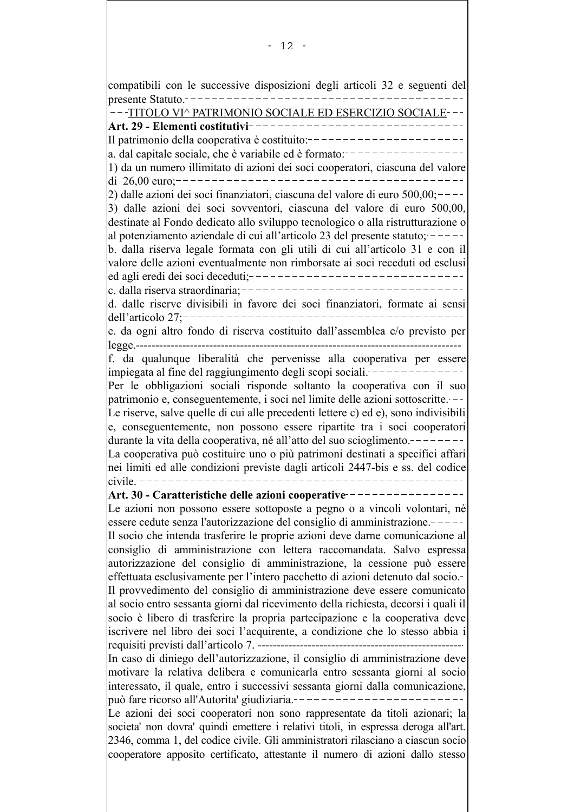compatibili con le successive disposizioni degli articoli 32 e seguenti del ---TITOLO VI^ PATRIMONIO SOCIALE ED ESERCIZIO SOCIALE---Il patrimonio della cooperativa è costituito:---------------------a. dal capitale sociale, che è variabile ed è formato: ----------------1) da un numero illimitato di azioni dei soci cooperatori, ciascuna del valore di 26.00 euro: $|2)$  dalle azioni dei soci finanziatori, ciascuna del valore di euro 500,00;----3) dalle azioni dei soci sovventori, ciascuna del valore di euro 500,00, destinate al Fondo dedicato allo sviluppo tecnologico o alla ristrutturazione o al potenziamento aziendale di cui all'articolo 23 del presente statuto;  $--$ b. dalla riserva legale formata con gli utili di cui all'articolo 31 e con il valore delle azioni eventualmente non rimborsate ai soci receduti od esclusi ed agli eredi dei soci deceduti;--------------------------------c. dalla riserva straordinaria;-------------------------------d. dalle riserve divisibili in favore dei soci finanziatori, formate ai sensi e. da ogni altro fondo di riserva costituito dall'assemblea e/o previsto per f. da qualunque liberalità che pervenisse alla cooperativa per essere impiegata al fine del raggiungimento degli scopi sociali. -------------Per le obbligazioni sociali risponde soltanto la cooperativa con il suo patrimonio e, conseguentemente, i soci nel limite delle azioni sottoscritte. --Le riserve, salve quelle di cui alle precedenti lettere c) ed e), sono indivisibili e, conseguentemente, non possono essere ripartite tra i soci cooperatori durante la vita della cooperativa, né all'atto del suo scioglimento.————————————— La cooperativa può costituire uno o più patrimoni destinati a specifici affari nei limiti ed alle condizioni previste dagli articoli 2447-bis e ss. del codice  $civile -$ Art. 30 - Caratteristiche delle azioni cooperative ----------------Le azioni non possono essere sottoposte a pegno o a vincoli volontari, nè essere cedute senza l'autorizzazione del consiglio di amministrazione. Il socio che intenda trasferire le proprie azioni deve darne comunicazione al consiglio di amministrazione con lettera raccomandata. Salvo espressa autorizzazione del consiglio di amministrazione, la cessione può essere effettuata esclusivamente per l'intero pacchetto di azioni detenuto dal socio. Il provvedimento del consiglio di amministrazione deve essere comunicato al socio entro sessanta giorni dal ricevimento della richiesta, decorsi i quali il socio è libero di trasferire la propria partecipazione e la cooperativa deve iscrivere nel libro dei soci l'acquirente, a condizione che lo stesso abbia i In caso di diniego dell'autorizzazione, il consiglio di amministrazione deve motivare la relativa delibera e comunicarla entro sessanta giorni al socio interessato, il quale, entro i successivi sessanta giorni dalla comunicazione, può fare ricorso all'Autorita' giudiziaria.-------------------------Le azioni dei soci cooperatori non sono rappresentate da titoli azionari; la societa' non dovra' quindi emettere i relativi titoli, in espressa deroga all'art. 2346, comma 1, del codice civile. Gli amministratori rilasciano a ciascun socio cooperatore apposito certificato, attestante il numero di azioni dallo stesso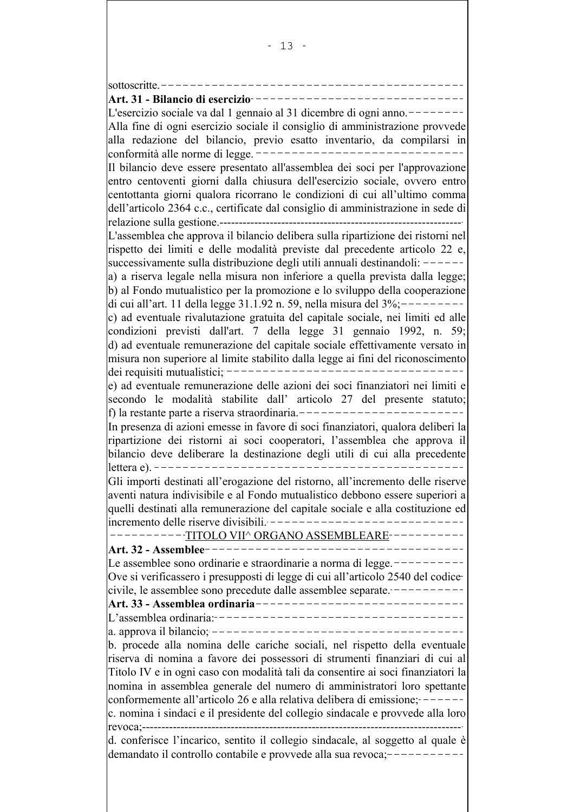| sottoscritte.                                                                    |
|----------------------------------------------------------------------------------|
| Art. 31 - Bilancio di esercizio-                                                 |
| L'esercizio sociale va dal 1 gennaio al 31 dicembre di ogni anno.                |
| Alla fine di ogni esercizio sociale il consiglio di amministrazione provvede     |
| alla redazione del bilancio, previo esatto inventario, da compilarsi in          |
| conformità alle norme di legge.                                                  |
| Il bilancio deve essere presentato all'assemblea dei soci per l'approvazione     |
| entro centoventi giorni dalla chiusura dell'esercizio sociale, ovvero entro      |
| centottanta giorni qualora ricorrano le condizioni di cui all'ultimo comma       |
| dell'articolo 2364 c.c., certificate dal consiglio di amministrazione in sede di |
| relazione sulla gestione.----                                                    |
| L'assemblea che approva il bilancio delibera sulla ripartizione dei ristorni nel |
| rispetto dei limiti e delle modalità previste dal precedente articolo 22 e,      |
| successivamente sulla distribuzione degli utili annuali destinandoli: -          |
| a) a riserva legale nella misura non inferiore a quella prevista dalla legge;    |
| b) al Fondo mutualistico per la promozione e lo sviluppo della cooperazione      |
| di cui all'art. 11 della legge 31.1.92 n. 59, nella misura del 3%;               |
| c) ad eventuale rivalutazione gratuita del capitale sociale, nei limiti ed alle  |
| condizioni previsti dall'art. 7 della legge 31 gennaio 1992, n. 59;              |
| d) ad eventuale remunerazione del capitale sociale effettivamente versato in     |
| misura non superiore al limite stabilito dalla legge ai fini del riconoscimento  |
| dei requisiti mutualistici;                                                      |
| e) ad eventuale remunerazione delle azioni dei soci finanziatori nei limiti e    |
| secondo le modalità stabilite dall' articolo 27 del presente statuto;            |
| f) la restante parte a riserva straordinaria.                                    |
| In presenza di azioni emesse in favore di soci finanziatori, qualora deliberi la |
| ripartizione dei ristorni ai soci cooperatori, l'assemblea che approva il        |
| bilancio deve deliberare la destinazione degli utili di cui alla precedente      |
| lettera e). $-$                                                                  |
| Gli importi destinati all'erogazione del ristorno, all'incremento delle riserve  |
| aventi natura indivisibile e al Fondo mutualistico debbono essere superiori a    |
| quelli destinati alla remunerazione del capitale sociale e alla costituzione ed  |
| incremento delle riserve divisibili. -                                           |
| <u>TITOLO VII^ ORGANO ASSEMBLEARE-----------</u>                                 |
| Art. 32 - Assemblee                                                              |
| Le assemblee sono ordinarie e straordinarie a norma di legge.----                |
| Ove si verificassero i presupposti di legge di cui all'articolo 2540 del codice  |
| civile, le assemblee sono precedute dalle assemblee separate. ----               |
| ___________________________<br>Art. 33 - Assemblea ordinaria-                    |
|                                                                                  |
| a. approva il bilancio; ----------------------------                             |
| b. procede alla nomina delle cariche sociali, nel rispetto della eventuale       |
| riserva di nomina a favore dei possessori di strumenti finanziari di cui al      |
| Titolo IV e in ogni caso con modalità tali da consentire ai soci finanziatori la |
| nomina in assemblea generale del numero di amministratori loro spettante         |
| conformemente all'articolo 26 e alla relativa delibera di emissione; -           |
| c. nomina i sindaci e il presidente del collegio sindacale e provvede alla loro  |
| revoca;----                                                                      |
| d. conferisce l'incarico, sentito il collegio sindacale, al soggetto al quale è  |
| demandato il controllo contabile e provvede alla sua revoca;-                    |
|                                                                                  |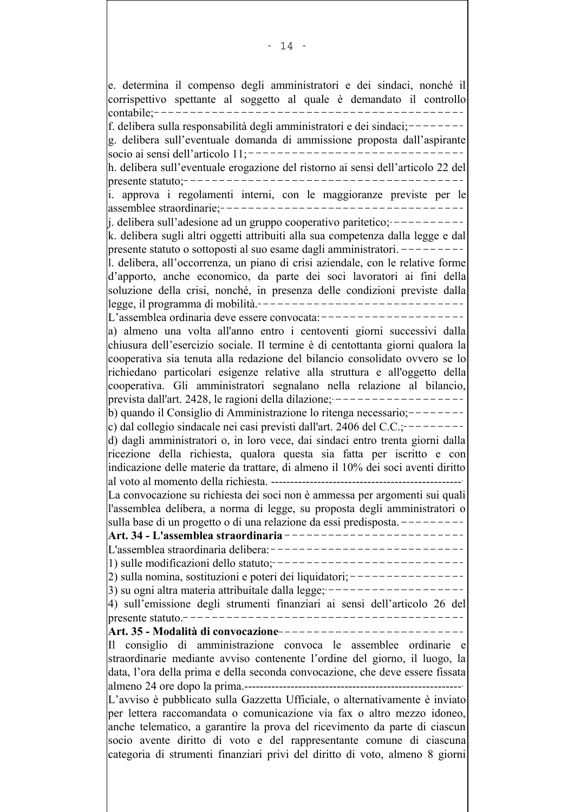e. determina il compenso degli amministratori e dei sindaci, nonché il corrispettivo spettante al soggetto al quale è demandato il controllo f. delibera sulla responsabilità degli amministratori e dei sindaci;-------g. delibera sull'eventuale domanda di ammissione proposta dall'aspirante h. delibera sull'eventuale erogazione del ristorno ai sensi dell'articolo 22 del i. approva i regolamenti interni, con le maggioranze previste per le  $j$ . delibera sull'adesione ad un gruppo cooperativo paritetico;  $-----$ k. delibera sugli altri oggetti attribuiti alla sua competenza dalla legge e dal presente statuto o sottoposti al suo esame dagli amministratori.  $------$ 1. delibera, all'occorrenza, un piano di crisi aziendale, con le relative forme d'apporto, anche economico, da parte dei soci lavoratori ai fini della soluzione della crisi, nonché, in presenza delle condizioni previste dalla legge, il programma di mobilità.-------------------------------L'assemblea ordinaria deve essere convocata:-------------------a) almeno una volta all'anno entro i centoventi giorni successivi dalla chiusura dell'esercizio sociale. Il termine è di centottanta giorni qualora la cooperativa sia tenuta alla redazione del bilancio consolidato ovvero se lo richiedano particolari esigenze relative alla struttura e all'oggetto della cooperativa. Gli amministratori segnalano nella relazione al bilancio. prevista dall'art. 2428, le ragioni della dilazione;  $-----------------$ b) quando il Consiglio di Amministrazione lo ritenga necessario:-------c) dal collegio sindacale nei casi previsti dall'art. 2406 del C.C.: $--$ d) dagli amministratori o, in loro vece, dai sindaci entro trenta giorni dalla ricezione della richiesta, qualora questa sia fatta per iscritto e con indicazione delle materie da trattare, di almeno il 10% dei soci aventi diritto La convocazione su richiesta dei soci non è ammessa per argomenti sui quali l'assemblea delibera, a norma di legge, su proposta degli amministratori o sulla base di un progetto o di una relazione da essi predisposta. ---------Art. 34 - L'assemblea straordinaria ---------------------------L'assemblea straordinaria delibera:------------------------------1) sulle modificazioni dello statuto:-----------------------------2) sulla nomina, sostituzioni e poteri dei liquidatori; ----------------3) su ogni altra materia attribuitale dalla legge;  $------$ 4) sull'emissione degli strumenti finanziari ai sensi dell'articolo 26 del Art. 35 - Modalità di convocazione ---------------------------Il consiglio di amministrazione convoca le assemblee ordinarie e straordinarie mediante avviso contenente l'ordine del giorno, il luogo, la data, l'ora della prima e della seconda convocazione, che deve essere fissata L'avviso è pubblicato sulla Gazzetta Ufficiale, o alternativamente è inviato per lettera raccomandata o comunicazione via fax o altro mezzo idoneo, anche telematico, a garantire la prova del ricevimento da parte di ciascun socio avente diritto di voto e del rappresentante comune di ciascuna categoria di strumenti finanziari privi del diritto di voto, almeno 8 giorni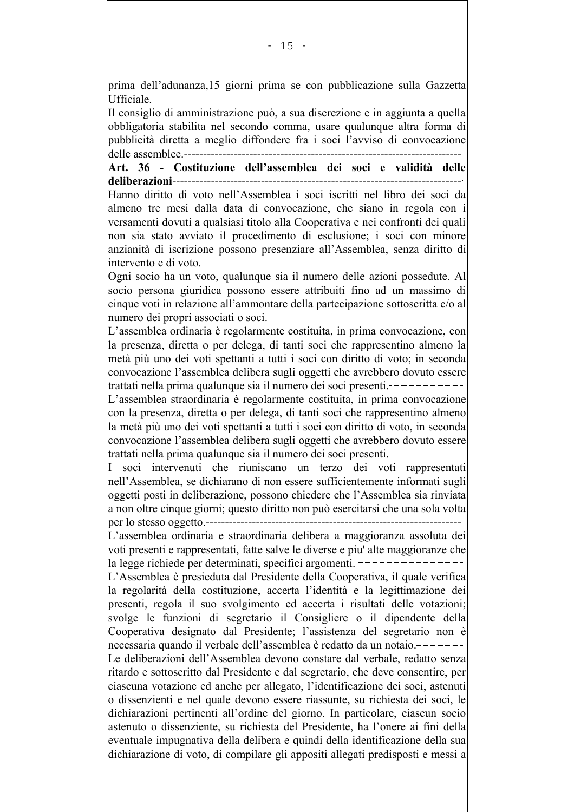prima dell'adunanza,15 giorni prima se con pubblicazione sulla Gazzetta Il consiglio di amministrazione può, a sua discrezione e in aggiunta a quella obbligatoria stabilita nel secondo comma, usare qualunque altra forma di pubblicità diretta a meglio diffondere fra i soci l'avviso di convocazione Art. 36 - Costituzione dell'assemblea dei soci e validità delle Hanno diritto di voto nell'Assemblea i soci iscritti nel libro dei soci da almeno tre mesi dalla data di convocazione, che siano in regola con i versamenti dovuti a qualsiasi titolo alla Cooperativa e nei confronti dei quali non sia stato avviato il procedimento di esclusione; i soci con minore anzianità di iscrizione possono presenziare all'Assemblea, senza diritto di Ogni socio ha un voto, qualunque sia il numero delle azioni possedute. Al socio persona giuridica possono essere attribuiti fino ad un massimo di cinque voti in relazione all'ammontare della partecipazione sottoscritta e/o al numero dei propri associati o soci. ------------------------------L'assemblea ordinaria è regolarmente costituita, in prima convocazione, con la presenza, diretta o per delega, di tanti soci che rappresentino almeno la metà più uno dei voti spettanti a tutti i soci con diritto di voto; in seconda convocazione l'assemblea delibera sugli oggetti che avrebbero dovuto essere trattati nella prima qualunque sia il numero dei soci presenti.-----------L'assemblea straordinaria è regolarmente costituita, in prima convocazione con la presenza, diretta o per delega, di tanti soci che rappresentino almeno la metà più uno dei voti spettanti a tutti i soci con diritto di voto, in seconda convocazione l'assemblea delibera sugli oggetti che avrebbero dovuto essere trattati nella prima qualunque sia il numero dei soci presenti -----------I soci intervenuti che riuniscano un terzo dei voti rappresentati nell'Assemblea, se dichiarano di non essere sufficientemente informati sugli loggetti posti in deliberazione, possono chiedere che l'Assemblea sia rinviata a non oltre cinque giorni; questo diritto non può esercitarsi che una sola volta L'assemblea ordinaria e straordinaria delibera a maggioranza assoluta dei voti presenti e rappresentati, fatte salve le diverse e piu' alte maggioranze che la legge richiede per determinati, specifici argomenti.  $---------------$ L'Assemblea è presieduta dal Presidente della Cooperativa, il quale verifica la regolarità della costituzione, accerta l'identità e la legittimazione dei presenti, regola il suo svolgimento ed accerta i risultati delle votazioni; svolge le funzioni di segretario il Consigliere o il dipendente della Cooperativa designato dal Presidente; l'assistenza del segretario non è necessaria quando il verbale dell'assemblea è redatto da un notaio.-------Le deliberazioni dell'Assemblea devono constare dal verbale, redatto senza ritardo e sottoscritto dal Presidente e dal segretario, che deve consentire, per ciascuna votazione ed anche per allegato, l'identificazione dei soci, astenuti o dissenzienti e nel quale devono essere riassunte, su richiesta dei soci, le dichiarazioni pertinenti all'ordine del giorno. In particolare, ciascun socio astenuto o dissenziente, su richiesta del Presidente, ha l'onere ai fini della eventuale impugnativa della delibera e quindi della identificazione della sua dichiarazione di voto, di compilare gli appositi allegati predisposti e messi a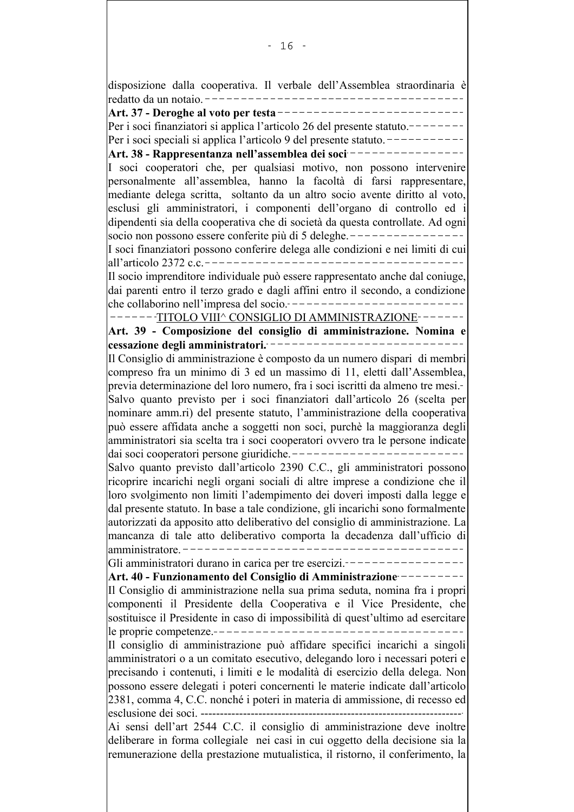disposizione dalla cooperativa. Il verbale dell'Assemblea straordinaria è Art. 37 - Deroghe al voto per testa ----------------------Per i soci finanziatori si applica l'articolo 26 del presente statuto. Per i soci speciali si applica l'articolo 9 del presente statuto.  $---$ Art. 38 - Rappresentanza nell'assemblea dei soci ----------I soci cooperatori che, per qualsiasi motivo, non possono intervenire personalmente all'assemblea, hanno la facoltà di farsi rappresentare, mediante delega scritta, soltanto da un altro socio avente diritto al voto, esclusi gli amministratori, i componenti dell'organo di controllo ed i dipendenti sia della cooperativa che di società da questa controllate. Ad ogni socio non possono essere conferite più di 5 deleghe. ----------------I soci finanziatori possono conferire delega alle condizioni e nei limiti di cui |all'articolo 2372 c c ---Il socio imprenditore individuale può essere rappresentato anche dal coniuge, dai parenti entro il terzo grado e dagli affini entro il secondo, a condizione che collaborino nell'impresa del socio.----------------------------------TITOLO VIII^ CONSIGLIO DI AMMINISTRAZIONE-------Art. 39 - Composizione del consiglio di amministrazione. Nomina e cessazione degli amministratori. -----------------------------Il Consiglio di amministrazione è composto da un numero dispari di membri compreso fra un minimo di 3 ed un massimo di 11, eletti dall'Assemblea, -lorevia determinazione del loro numero, fra i soci iscritti da almeno tre mesi Salvo quanto previsto per i soci finanziatori dall'articolo 26 (scelta per nominare amm.ri) del presente statuto, l'amministrazione della cooperativa può essere affidata anche a soggetti non soci, purchè la maggioranza degli amministratori sia scelta tra i soci cooperatori ovvero tra le persone indicate Salvo quanto previsto dall'articolo 2390 C.C., gli amministratori possono ricoprire incarichi negli organi sociali di altre imprese a condizione che il loro svolgimento non limiti l'adempimento dei doveri imposti dalla legge e dal presente statuto. In base a tale condizione, gli incarichi sono formalmente autorizzati da apposito atto deliberativo del consiglio di amministrazione. La mancanza di tale atto deliberativo comporta la decadenza dall'ufficio di Gli amministratori durano in carica per tre esercizi.---------Art. 40 - Funzionamento del Consiglio di Amministrazione ---------Il Consiglio di amministrazione nella sua prima seduta, nomina fra i propri componenti il Presidente della Cooperativa e il Vice Presidente, che sostituisce il Presidente in caso di impossibilità di quest'ultimo ad esercitare Il consiglio di amministrazione può affidare specifici incarichi a singoli amministratori o a un comitato esecutivo, delegando loro i necessari poteri e precisando i contenuti, i limiti e le modalità di esercizio della delega. Non possono essere delegati i poteri concernenti le materie indicate dall'articolo 2381, comma 4, C.C. nonché i poteri in materia di ammissione, di recesso ed Ai sensi dell'art 2544 C.C. il consiglio di amministrazione deve inoltre deliberare in forma collegiale nei casi in cui oggetto della decisione sia la remunerazione della prestazione mutualistica, il ristorno, il conferimento, la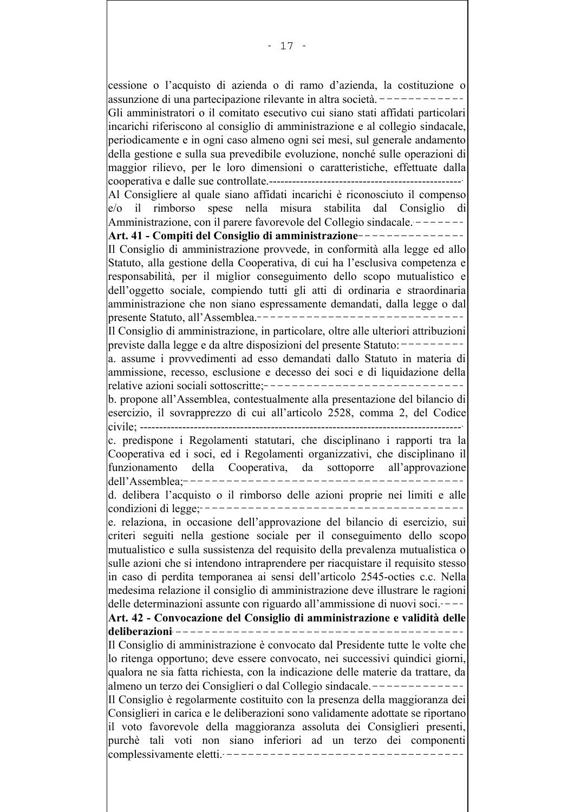cessione o l'acquisto di azienda o di ramo d'azienda, la costituzione o assunzione di una partecipazione rilevante in altra società. Gli amministratori o il comitato esecutivo cui siano stati affidati particolari incarichi riferiscono al consiglio di amministrazione e al collegio sindacale, periodicamente e in ogni caso almeno ogni sei mesi, sul generale andamento della gestione e sulla sua prevedibile evoluzione, nonché sulle operazioni di maggior rilievo, per le loro dimensioni o caratteristiche, effettuate dalla Al Consigliere al quale siano affidati incarichi è riconosciuto il compenso  $|e\rangle$  il rimborso spese nella misura stabilita dal Consiglio  $di$ Amministrazione, con il parere favorevole del Collegio sindacale. -------Art. 41 - Compiti del Consiglio di amministrazione ------------Il Consiglio di amministrazione provvede, in conformità alla legge ed allo Statuto, alla gestione della Cooperativa, di cui ha l'esclusiva competenza e responsabilità, per il miglior conseguimento dello scopo mutualistico e dell'oggetto sociale, compiendo tutti gli atti di ordinaria e straordinaria amministrazione che non siano espressamente demandati, dalla legge o dal presente Statuto, all'Assemblea ---------------Il Consiglio di amministrazione, in particolare, oltre alle ulteriori attribuzioni previste dalla legge e da altre disposizioni del presente Statuto: ----a. assume i provvedimenti ad esso demandati dallo Statuto in materia di ammissione, recesso, esclusione e decesso dei soci e di liquidazione della relative azioni sociali sottoscritte:----------------b. propone all'Assemblea, contestualmente alla presentazione del bilancio di esercizio, il sovrapprezzo di cui all'articolo 2528, comma 2, del Codice civile: --------------------------c. predispone i Regolamenti statutari, che disciplinano i rapporti tra la Cooperativa ed i soci, ed i Regolamenti organizzativi, che disciplinano il della Cooperativa, da sottoporre all'approvazione funzionamento dell'Assemblea:--d. delibera l'acquisto o il rimborso delle azioni proprie nei limiti e alle e. relaziona, in occasione dell'approvazione del bilancio di esercizio, sui criteri seguiti nella gestione sociale per il conseguimento dello scopo mutualistico e sulla sussistenza del requisito della prevalenza mutualistica o sulle azioni che si intendono intraprendere per riacquistare il requisito stesso in caso di perdita temporanea ai sensi dell'articolo 2545-octies c.c. Nella medesima relazione il consiglio di amministrazione deve illustrare le ragioni delle determinazioni assunte con riguardo all'ammissione di nuovi soci. ---Art. 42 - Convocazione del Consiglio di amministrazione e validità delle deliberazioni ----\_\_\_\_\_\_\_\_\_\_\_\_\_\_\_\_ Il Consiglio di amministrazione è convocato dal Presidente tutte le volte che lo ritenga opportuno; deve essere convocato, nei successivi quindici giorni, qualora ne sia fatta richiesta, con la indicazione delle materie da trattare, da almeno un terzo dei Consiglieri o dal Collegio sindacale.---Il Consiglio è regolarmente costituito con la presenza della maggioranza dei Consiglieri in carica e le deliberazioni sono validamente adottate se riportano il voto favorevole della maggioranza assoluta dei Consiglieri presenti, purchè tali voti non siano inferiori ad un terzo dei componenti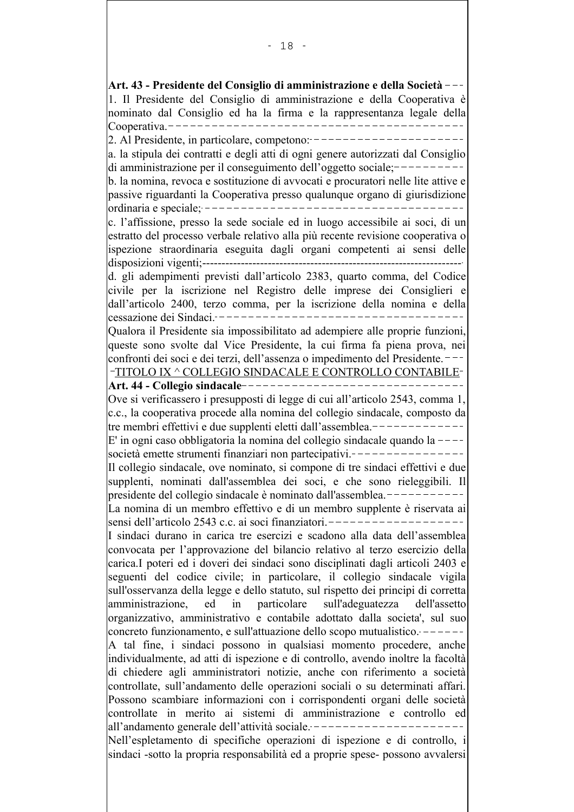Art. 43 - Presidente del Consiglio di amministrazione e della Società -1. Il Presidente del Consiglio di amministrazione e della Cooperativa è nominato dal Consiglio ed ha la firma e la rappresentanza legale della Cooperativa. $---$ 2. Al Presidente, in particolare, competono: a. la stipula dei contratti e degli atti di ogni genere autorizzati dal Consiglio  $di$  amministrazione per il conseguimento dell'oggetto sociale;  $-$ b. la nomina, revoca e sostituzione di avvocati e procuratori nelle lite attive e passive riguardanti la Cooperativa presso qualunque organo di giurisdizione ordinaria e speciale:  $-----------$ c. l'affissione, presso la sede sociale ed in luogo accessibile ai soci, di un estratto del processo verbale relativo alla più recente revisione cooperativa o ispezione straordinaria eseguita dagli organi competenti ai sensi delle disposizioni vigenti:--------d. gli adempimenti previsti dall'articolo 2383, quarto comma, del Codice civile per la iscrizione nel Registro delle imprese dei Consiglieri e dall'articolo 2400, terzo comma, per la iscrizione della nomina e della cessazione dei Sindaci.--------Qualora il Presidente sia impossibilitato ad adempiere alle proprie funzioni, queste sono svolte dal Vice Presidente, la cui firma fa piena prova, nei confronti dei soci e dei terzi, dell'assenza o impedimento del Presidente. -TITOLO IX ^ COLLEGIO SINDACALE E CONTROLLO CONTABILE-Art. 44 - Collegio sindacale -----------Ove si verificassero i presupposti di legge di cui all'articolo 2543, comma 1, c.c., la cooperativa procede alla nomina del collegio sindacale, composto da tre membri effettivi e due supplenti eletti dall'assemblea.-------E' in ogni caso obbligatoria la nomina del collegio sindacale quando la  $-$ - $$ società emette strumenti finanziari non partecipativi.----Il collegio sindacale, ove nominato, si compone di tre sindaci effettivi e due supplenti, nominati dall'assemblea dei soci, e che sono rieleggibili. Il presidente del collegio sindacale è nominato dall'assemblea. La nomina di un membro effettivo e di un membro supplente è riservata ai sensi dell'articolo 2543 c.c. ai soci finanziatori.------------I sindaci durano in carica tre esercizi e scadono alla data dell'assemblea convocata per l'approvazione del bilancio relativo al terzo esercizio della carica.I poteri ed i doveri dei sindaci sono disciplinati dagli articoli 2403 e seguenti del codice civile; in particolare, il collegio sindacale vigila sull'osservanza della legge e dello statuto, sul rispetto dei principi di corretta particolare lamministrazione. ed  $in$ sull'adeguatezza dell'assetto organizzativo, amministrativo e contabile adottato dalla societa', sul suo concreto funzionamento, e sull'attuazione dello scopo mutualistico. A tal fine, i sindaci possono in qualsiasi momento procedere, anche individualmente, ad atti di ispezione e di controllo, avendo inoltre la facoltà di chiedere agli amministratori notizie, anche con riferimento a società controllate, sull'andamento delle operazioni sociali o su determinati affari. Possono scambiare informazioni con i corrispondenti organi delle società controllate in merito ai sistemi di amministrazione e controllo ed all'andamento generale dell'attività sociale. ----Nell'espletamento di specifiche operazioni di ispezione e di controllo, i sindaci -sotto la propria responsabilità ed a proprie spese- possono avvalersi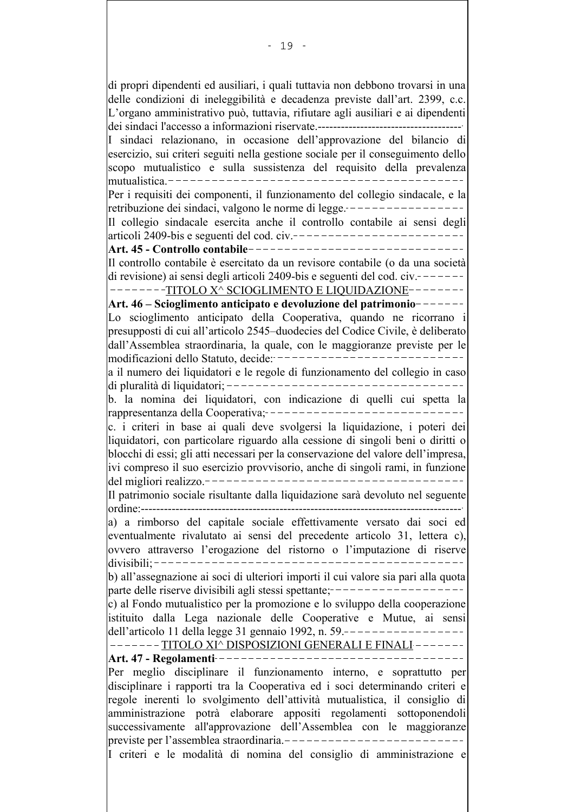di propri dipendenti ed ausiliari, i quali tuttavia non debbono trovarsi in una delle condizioni di ineleggibilità e decadenza previste dall'art. 2399, c.c. L'organo amministrativo può, tuttavia, rifiutare agli ausiliari e ai dipendenti I sindaci relazionano, in occasione dell'approvazione del bilancio di esercizio, sui criteri seguiti nella gestione sociale per il conseguimento dello scopo mutualistico e sulla sussistenza del requisito della prevalenza Per i requisiti dei componenti, il funzionamento del collegio sindacale, e la retribuzione dei sindaci, valgono le norme di legge. Il collegio sindacale esercita anche il controllo contabile ai sensi degli articoli 2409-bis e seguenti del cod. civ. --------------------------Art. 45 - Controllo contabile -------------------------------Il controllo contabile è esercitato da un revisore contabile (o da una società di revisione) ai sensi degli articoli 2409-bis e seguenti del cod.  $civ.$  -------------TITOLO X^ SCIOGLIMENTO E LIQUIDAZIONE--------Art. 46 – Scioglimento anticipato e devoluzione del patrimonio-------Lo scioglimento anticipato della Cooperativa, quando ne ricorrano i presupposti di cui all'articolo 2545-duodecies del Codice Civile, è deliberato dall'Assemblea straordinaria, la quale, con le maggioranze previste per le modificazioni dello Statuto, decide: ----------------------------a il numero dei liquidatori e le regole di funzionamento del collegio in caso b. la nomina dei liquidatori, con indicazione di quelli cui spetta la rappresentanza della Cooperativa;-------------------------------c. i criteri in base ai quali deve svolgersi la liquidazione, i poteri dei liquidatori, con particolare riguardo alla cessione di singoli beni o diritti o blocchi di essi; gli atti necessari per la conservazione del valore dell'impresa, ivi compreso il suo esercizio provvisorio, anche di singoli rami, in funzione \_\_\_\_\_\_\_\_\_\_\_\_\_\_\_\_\_\_\_\_\_\_\_\_\_\_\_\_\_\_\_\_\_\_\_ del migliori realizzo  $-$ Il patrimonio sociale risultante dalla liquidazione sarà devoluto nel seguente a) a rimborso del capitale sociale effettivamente versato dai soci ed eventualmente rivalutato ai sensi del precedente articolo 31, lettera c), ovvero attraverso l'erogazione del ristorno o l'imputazione di riserve b) all'assegnazione ai soci di ulteriori importi il cui valore sia pari alla quota parte delle riserve divisibili agli stessi spettante; ------------------c) al Fondo mutualistico per la promozione e lo sviluppo della cooperazione istituito dalla Lega nazionale delle Cooperative e Mutue, ai sensi dell'articolo 11 della legge 31 gennaio 1992, n. 59 .------------------------TITOLO XI^ DISPOSIZIONI GENERALI E FINALI-------Art. 47 - Regolamenti------------------------------Per meglio disciplinare il funzionamento interno, e soprattutto per disciplinare i rapporti tra la Cooperativa ed i soci determinando criteri e regole inerenti lo svolgimento dell'attività mutualistica, il consiglio di amministrazione potrà elaborare appositi regolamenti sottoponendoli successivamente all'approvazione dell'Assemblea con le maggioranze previste per l'assemblea straordinaria.---------------------------I criteri e le modalità di nomina del consiglio di amministrazione e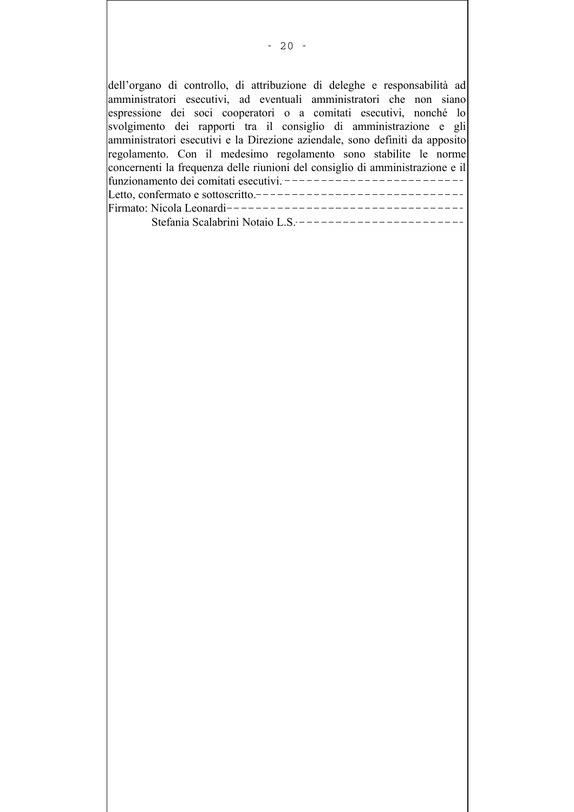| dell'organo di controllo, di attribuzione di deleghe e responsabilità ad      |
|-------------------------------------------------------------------------------|
| amministratori esecutivi, ad eventuali amministratori che non siano           |
| espressione dei soci cooperatori o a comitati esecutivi, nonché lo            |
| svolgimento dei rapporti tra il consiglio di amministrazione e gli            |
| amministratori esecutivi e la Direzione aziendale, sono definiti da apposito  |
| regolamento. Con il medesimo regolamento sono stabilite le norme              |
| concernenti la frequenza delle riunioni del consiglio di amministrazione e il |
| funzionamento dei comitati esecutivi. ----------------                        |
| Letto, confermato e sottoscritto.--------<br>_______________                  |
|                                                                               |
| Stefania Scalabrini Notaio L.S. ----------------                              |